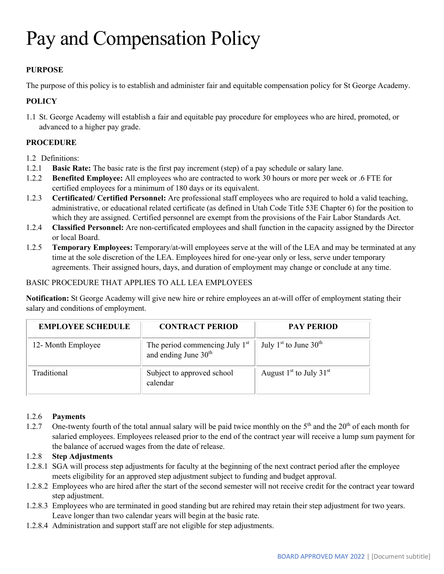# Pay and Compensation Policy

# **PURPOSE**

The purpose of this policy is to establish and administer fair and equitable compensation policy for St George Academy.

# **POLICY**

1.1 St. George Academy will establish a fair and equitable pay procedure for employees who are hired, promoted, or advanced to a higher pay grade.

### **PROCEDURE**

- 1.2 Definitions:
- 1.2.1 **Basic Rate:** The basic rate is the first pay increment (step) of a pay schedule or salary lane.
- 1.2.2 **Benefited Employee:** All employees who are contracted to work 30 hours or more per week or .6 FTE for certified employees for a minimum of 180 days or its equivalent.
- 1.2.3 **Certificated/ Certified Personnel:** Are professional staff employees who are required to hold a valid teaching, administrative, or educational related certificate (as defined in Utah Code Title 53E Chapter 6) for the position to which they are assigned. Certified personnel are exempt from the provisions of the Fair Labor Standards Act.
- 1.2.4 **Classified Personnel:** Are non-certificated employees and shall function in the capacity assigned by the Director or local Board.
- 1.2.5 **Temporary Employees:** Temporary/at-will employees serve at the will of the LEA and may be terminated at any time at the sole discretion of the LEA. Employees hired for one-year only or less, serve under temporary agreements. Their assigned hours, days, and duration of employment may change or conclude at any time.

### BASIC PROCEDURE THAT APPLIES TO ALL LEA EMPLOYEES

**Notification:** St George Academy will give new hire or rehire employees an at-will offer of employment stating their salary and conditions of employment.

| <b>EMPLOYEE SCHEDULE</b> | <b>CONTRACT PERIOD</b>                                             | <b>PAY PERIOD</b>           |
|--------------------------|--------------------------------------------------------------------|-----------------------------|
| 12- Month Employee       | The period commencing July 1st<br>and ending June 30 <sup>th</sup> | July $1st$ to June $30th$   |
| Traditional              | Subject to approved school<br>calendar                             | August $1st$ to July $31st$ |

#### 1.2.6 **Payments**

1.2.7 One-twenty fourth of the total annual salary will be paid twice monthly on the  $5<sup>th</sup>$  and the  $20<sup>th</sup>$  of each month for salaried employees. Employees released prior to the end of the contract year will receive a lump sum payment for the balance of accrued wages from the date of release.

## 1.2.8 **Step Adjustments**

- 1.2.8.1 SGA will process step adjustments for faculty at the beginning of the next contract period after the employee meets eligibility for an approved step adjustment subject to funding and budget approval.
- 1.2.8.2 Employees who are hired after the start of the second semester will not receive credit for the contract year toward step adjustment.
- 1.2.8.3 Employees who are terminated in good standing but are rehired may retain their step adjustment for two years. Leave longer than two calendar years will begin at the basic rate.
- 1.2.8.4 Administration and support staff are not eligible for step adjustments.